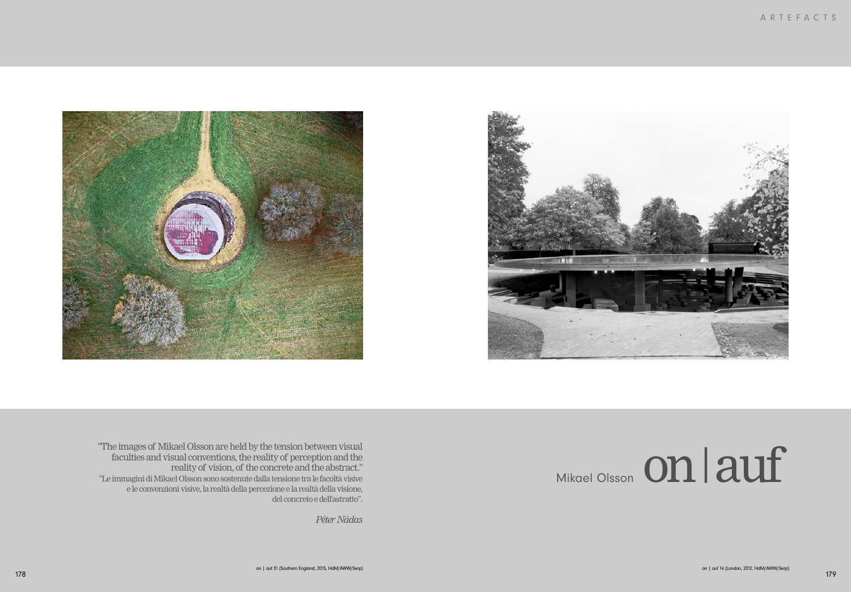## Mikael Olsson On | auf





"The images of Mikael Olsson are held by the tension between visual faculties and visual conventions, the reality of perception and the reality of vision, of the concrete and the abstract." "Le immagini di Mikael Olsson sono sostenute dalla tensione tra le facoltà visive e le convenzioni visive, la realtà della percezione e la realtà della visione, del concreto e dell'astratto".

*Péter Nádas*